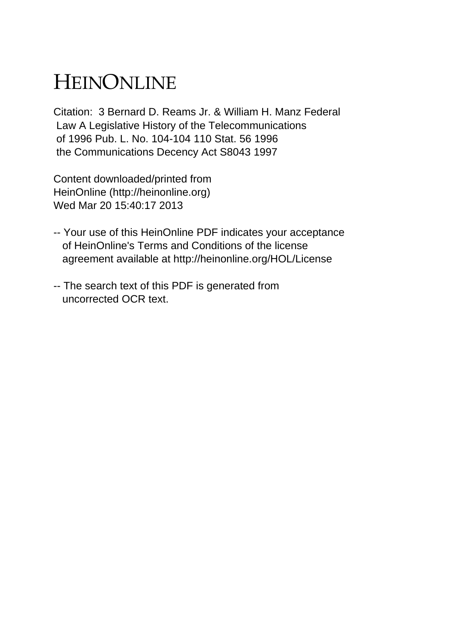# HEINONLINE

Citation: 3 Bernard D. Reams Jr. & William H. Manz Federal Law A Legislative History of the Telecommunications of 1996 Pub. L. No. 104-104 110 Stat. 56 1996 the Communications Decency Act S8043 1997

Content downloaded/printed from HeinOnline (http://heinonline.org) Wed Mar 20 15:40:17 2013

- -- Your use of this HeinOnline PDF indicates your acceptance of HeinOnline's Terms and Conditions of the license agreement available at http://heinonline.org/HOL/License
- -- The search text of this PDF is generated from uncorrected OCR text.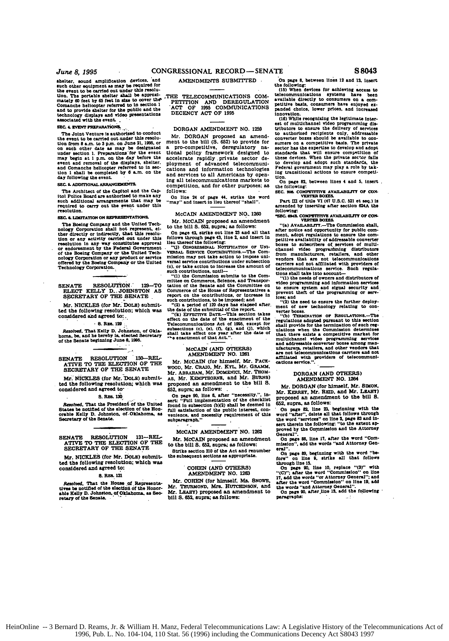abelter, sound amplification devices, and *AMENDMENTS SUBMITTED*<br>such other equipment as may be required for<br>the event to be carried out under this resolution. The portable shelter shall be approximated THE TELECOMMUNICATIONS COM-<br>mately 60 feet by 55 feet in estate of the second in the SERGULATION<br>Comanche helicopter referred to in section 1. ACT OF 1935 COMMUNICATIONS technology **displays and** video presentations **DECENCY ACT** OF **<sup>1995</sup>** asoctated with the event.

**SEC. 4 EVENT PREPARATIONS.** DORGAN AMENDMENT NO. 1259

The Joint **Venture is** authorized to conduct the event to be carried out under this resolution. Mr. DORGAN proposed an amend-<br>tion from 8 a.m. to 3 p.m. on June 31, 1995, or ment to the bill (S. 652) to provide for<br>on such other date as may be designated a pro-compet

The Architect of the Capitol and the Capitol Police Board are authorized to make any conclusion in the 24 of page 44, strike the word and it include the form of the strike the word are required to carry out the event under this crequired to carry out the event u resolution.

The Boeing Company and the United Tech-<br>
IM. MCCAIN proposed an amendment<br>
nology Corporation shall not regressed, either directly or indirectly, that this resolu-<br>
the pays 42, starks out line 23 and all that<br>
then direct

**SENATE RESOLUTION 129-TO ELECT RELLY D. JOHNSTON AS SECRETARY OF THE SENATE** 

Mr. NICKLES (for Mr. DOLE) submitted the following resolution; which was considered and agreed to:

## SENATE RESOLUTION 130-REL-<br>ATIVE TO THE ELECTION OF THE M. MCCAIN (for himself, Mr. PACK-<br>SECURE ARE RESOLUTED FOR A WOOD, Mr. CRAIG, Mr. KYL, Mr. GRAMM.

ted the following resolution; which **was** proposed an amendment to the **bill S.** considered and agreed to' **652,** supra; as follows: i

States be notified **of** the election **of** the **ROe- fll** satisfaction **of** the **public interest,** con-Secretary of the Senate. subparagraph."

**ATIVE TO THE ELECTION OF THE** to the bill **S. 622, supra; as follows:**<br>SECRETARY OF THE SENATE **but the and form section section section section section** 

Mr. NICKLES (for Mr. DOLE) submitted the following resolution; which was considered and agreed to: **COHEN (AND** OTHERS)

Resolved. That the House of Representa-<br>tives be notified of the election of the Honortives **be** notified of the election of the Honor- Mr. THURMOND, Mrs. HUTCINSON. and **able Kelly D.** Johnston. of Oklahoma. **asSeo-** Mr. **LEAHY)** proposed an amendment to able Kelly D. Johnston, of Oklahoma, as Sec. Mr. LEAHY) proposed an amendency of the Senate. bill S. 652, supra; as follows:

**PETTION AND DEREGULATION**<br>ACT OF 1995 COMMUNICATIONS<br>DECENCY ACT OF 1995

may begin at 1 p.m. on the day before the accelerate rapidly private sector deceant and removal of the displays, shelter, ployment of advanced telecommunition and Communication and Communication and State and State and Sta day following the event.<br> **ADDMONALAREADEMONAL AREAD AREAD AND COMPETITION, and for other purposes; as<br>
The Architect of the Cantol and the Capfollows:** 

## **55801000.**<br>**55C. 4. LIBUTATION ON REFRESENTATIONS.** Mr. MCCAIN proposed an amendment

of the Boeing Company or the United Tech-VERSAL SERVICE CONTREBUTIONS.—The Commology Corporation or any product or service mission may not take action to impose unit offered by the Boeing Company or the United Versal servi

**Such** contributions, **until- "(I)** the Commission submits to the **Com-**mittee **on Commerce,** Science. **and Transpor-**ELECT KELLY D., JOHNSTON AS Commerce of the House of Representatives a SECRETARY OF THE SENATE report on the contributions, to the imposed; and the MICKLES (for Mr. DOLE) submit- "(2) a period of 120 days has elapsed after

considered **and** agreed to:. **"(ki) EFFECrive** DATE.-This section takes effect **on** the date **of the** enacnment **of** the **S. RE.** 129 Telecommunications Act of **1995.** except for Resol ed. That Kelly **D.** Jobnton. **of Okia,** subsections **(c). (s). (0. (g). and (U).** which shall take effect one **year** after the date of **horrtM,** e'be. a~tnd **hee~emlbSyJis. elcted Secrtary n enectrent of that Act.". of** the Senat begining **June 8.** 1995. 'eeausto **htAt"**

## **MCCAIN (AND** OTHERS)

ATIVE TO THE **ELECTION OF** THE Mr. McCAIN (for himself, Mr. PACK-SECRETARY OF THE **SENATE WOOD,** Mr. **CRAIG.** Mr. **KYL.** Mr. **GRAMM,** Mr. ABRAHAM, **Mr. DOMENICi.** Mr. **THOM-**Mr. NICKLES (for Mr. DOLE) submit- **AS,** Mr. **KEMOrSoSi,** and Mr. BURNS)

**S.** RZL **130** On **page g0.** line **S.** after **"necessity.". in-** sert: "Full implementation **of** the checklist Resolved. That the Presiden6 **of** the United found in subsection **(b)(2)** shall be deemed in full satisfaction of the public interest, convenience, and necessity requirement of this

### **McCAIN AMENDMENT NO.** 1262

**SENATE** RESOLUTION 131-REL- Mr. **MCCAIN** proposed an amendment

**SECRETARY OF THE SECTION OF SET ACT AND REFLUENCE SECTION AS Appropriate.** 

**8. REA. 131 AMENDMENT NO. 1263**<br>the House of Berresents. Mr. COHEN (for himself, Ms. SNOWE,

On page 8, between lines 12 and 13, insert<br>the following:<br>(15) When devices for achieving access to<br>telecommunications systems have been<br>available directly to consumers on a com-<br>panitive basis, consumers have enjoyed ex-<br> innovation.

**(16)** While recognizing the legitimate Interest of multichannel video programming distributors to ensure the delivery of services to authorized reconverter box and the converter box summers on a competitive basis. The private server basis and acoust server as the ex **these** devices. When the private sector **falls** *to* develop and adopt such standsrcI. the Federal government may **play** a **role by tak-Ing** transitional actions to ensure competi-

**tion. On page 82,** betweeo lines 4 **and 5.** insert the following.

SEC. **TOB. COMPETITIVE AVAILABILITY OF CON. VERTER BOXES.** 

Part *HI* of title VI **(47 U.S.C. 521** et **seq.) Is** amended **by** inserting after section **624A** the **following**

**"SEC. 434B. COMPSTITIVE AVAILABILITY OF CON-<br><b>VERTEB BOXES.**<br>''(a) AVAILABILITY.--The Commission shall.

after notice and opportunity for public **ecxn-**ment. adopt regulations to **ensure** the com-petitive availability of addresoabie converter peaks a subscribers of services of multi-<br>channel video programming distributors<br>from manufacturers, retailers, and other<br>from manufacturers, retailers, and other<br>vendors that are not telecommunications<br>carriers and not af telecommunications service. **Such** regula-tions shall take into account- **"(1)** the needs of owners and distributor **of** video programming **and** Information services

to ensure system **and** signal security **and** prevent theft of the programming or **serv**ices; an

**"()** the need to ensure the further deploy-ment of **new** technology relating to con-

number of the commonly results. The commonly results of the results of the section results of the beam of the commission of such that there is that there is the commission of such that there exists a competitive market for

### **DORGAN (AND** OTHERS) **AMENDMENT NO. 1264**

Mr. **DOROAN** (for himself. Mr. **SIMON.** Mr. KERREY, Mr. REID, and Mr. LEAHT) proposed an amendment to the **bill S. 652. supra, as follows:**

On **page** *a6* line **2.** beginning with **the** word "after". delete all that **follows** through the word "services" **on** line 2. pae **83 and** insort therein the followin'. "to the extent **ap-** proved **by** the Commission and **the** Attorney proved by the Commission and the Attorney General".

**On page 88.** line **17.** after the word "Com-mission", **add** the words "and Attorney **Gen**eral". On pae **89,** beginning with the word **"be-**

**fore"** on line **9.** strike all that **follows** through **Une 1.** On page **g.** line **10,** replace **"(3)"** with

**"(C)";** *after* the word ",Commiselon" on **line 17. add** the words "or Attorney General"; and after the word **"Commission" on line 19. add**

the words **"and** Attorney General". On **page go.** after.lne **11. add** the following pa agraphs: **"** *.. :*

**S8043**

HeinOnline -- 3 Bernard D. Reams, Jr. & William H. Manz, Federal Telecommunications Law: A Legislative History of the Telecommunications Act of 1996, Pub. L. No. 104-104, 110 Stat. 56 (1996) including the Communications Decency Act S8043 1997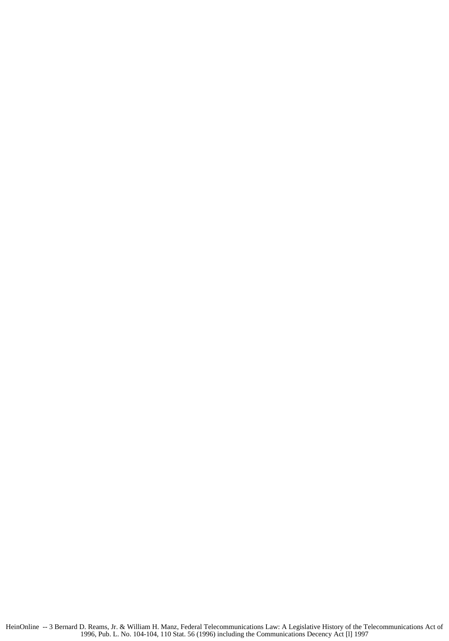HeinOnline -- 3 Bernard D. Reams, Jr. & William H. Manz, Federal Telecommunications Law: A Legislative History of the Telecommunications Act of 1996, Pub. L. No. 104-104, 110 Stat. 56 (1996) including the Communications Decency Act [l] 1997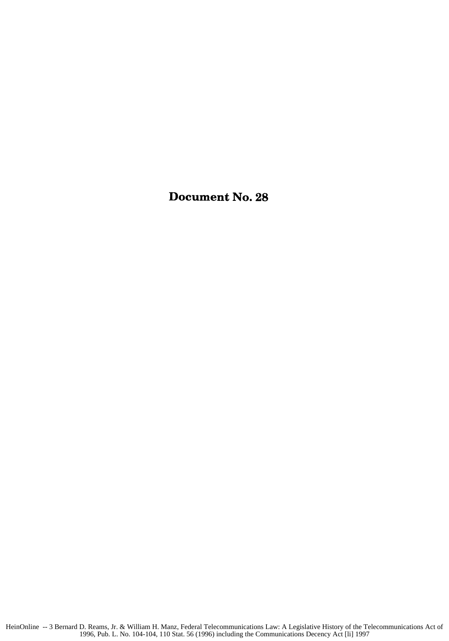Document No. **28**